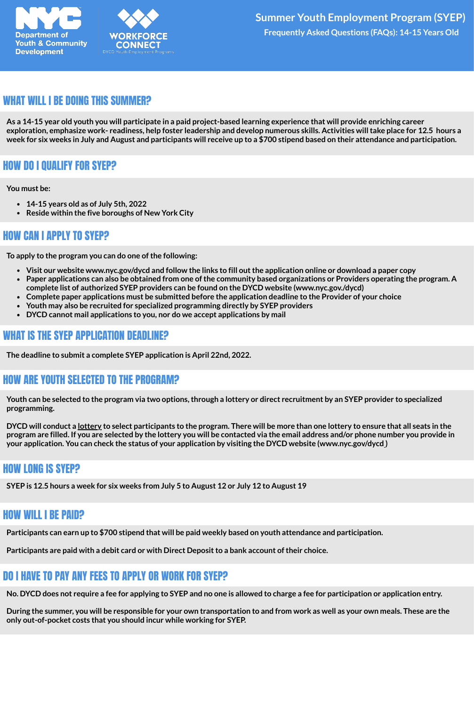



#### WHAT WILL I BE DOING THIS SUMMER?

As a 14-15 year old youth you will participate in a paid project-based learning experience that will provide enriching career exploration, emphasize work- readiness, help foster leadership and develop numerous skills. Activities will take place for 12.5 hours a week for six weeks in July and August and participants will receive up to a \$700 stipend based on their attendance and participation.

## HOW DO I QUALIFY FOR SYEP?

**You must be:**

- **14-15 years old as of July 5th, 2022**
- **Reside within the five boroughs of New York City**

#### HOW CAN I APPLY TO SYEP?

**To apply to the program you can do one of the following:**

- Visit our website www.nyc.gov/dycd and follow the links to fill out the application online or download a paper copy
- Paper applications can also be obtained from one of the community based organizations or Providers operating the program. A **complete list of authorized SYEP providers can be found on the DYCD website (www.nyc.gov./dycd)**
- **Complete paper applications must be submitted before the application deadline to the Provider of your choice**
- **Youth may also be recruited for specialized programming directly by SYEP providers**
- **DYCD cannot mail applications to you, nor do we accept applications by mail**

## WHAT IS THE SYEP APPLICATION DEADLINE?

**The deadline to submit a complete SYEP application is April 22nd, 2022.**

## HOW ARE YOUTH SELECTED TO THE PROGRAM?

Youth can be selected to the program via two options, through a lottery or direct recruitment by an SYEP provider to specialized **programming.**

DYCD will conduct a <u>lottery</u> to select participants to the program. There will be more than one lottery to ensure that all seats in the program are filled. If you are selected by the lottery you will be contacted via the email address and/or phone number you provide in your application. You can check the status of your application by visiting the DYCD website (www.nyc.gov/dycd)

#### HOW LONG IS SYEP?

SYEP is 12.5 hours a week for six weeks from July 5 to August 12 or July 12 to August 19

#### HOW WILL I BE PAID?

Participants can earn up to \$700 stipend that will be paid weekly based on youth attendance and participation.

**Participants are paid with a debit card or with Direct Depositto a bank account oftheir choice.**

## DO I HAVE TO PAY ANY FEES TO APPLY OR WORK FOR SYEP?

No. DYCD does not require a fee for applying to SYEP and no one is allowed to charge a fee for participation or application entry.

During the summer, you will be responsible for your own transportation to and from work as well as your own meals. These are the **only out-of-pocket costs that you should incur while working for SYEP.**